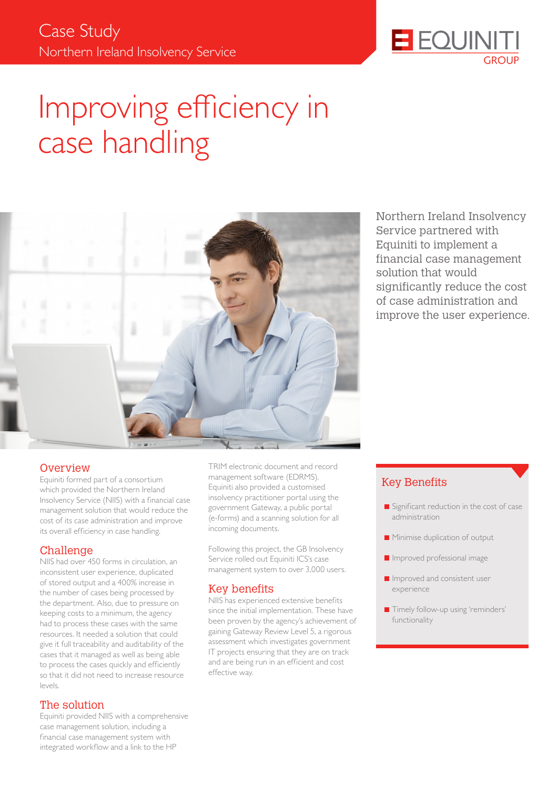

# Improving efficiency in case handling



Northern Ireland Insolvency Service partnered with Equiniti to implement a financial case management solution that would significantly reduce the cost of case administration and improve the user experience.

#### **Overview**

Equiniti formed part of a consortium which provided the Northern Ireland Insolvency Service (NIIS) with a financial case management solution that would reduce the cost of its case administration and improve its overall efficiency in case handling.

#### Challenge

NIIS had over 450 forms in circulation, an inconsistent user experience, duplicated of stored output and a 400% increase in the number of cases being processed by the department. Also, due to pressure on keeping costs to a minimum, the agency had to process these cases with the same resources. It needed a solution that could give it full traceability and auditability of the cases that it managed as well as being able to process the cases quickly and efficiently so that it did not need to increase resource levels.

#### The solution

Equiniti provided NIIS with a comprehensive case management solution, including a financial case management system with integrated workflow and a link to the HP

TRIM electronic document and record management software (EDRMS). Equiniti also provided a customised insolvency practitioner portal using the government Gateway, a public portal (e-forms) and a scanning solution for all incoming documents.

Following this project, the GB Insolvency Service rolled out Equiniti ICS's case management system to over 3,000 users.

#### Key benefits

NIIS has experienced extensive benefits since the initial implementation. These have been proven by the agency's achievement of gaining Gateway Review Level 5, a rigorous assessment which investigates government IT projects ensuring that they are on track and are being run in an efficient and cost effective way.

## Key Benefits

- $\blacksquare$  Significant reduction in the cost of case administration
- **Minimise duplication of output**
- **I** Improved professional image
- **Improved and consistent user** experience
- **Timely follow-up using 'reminders'** functionality